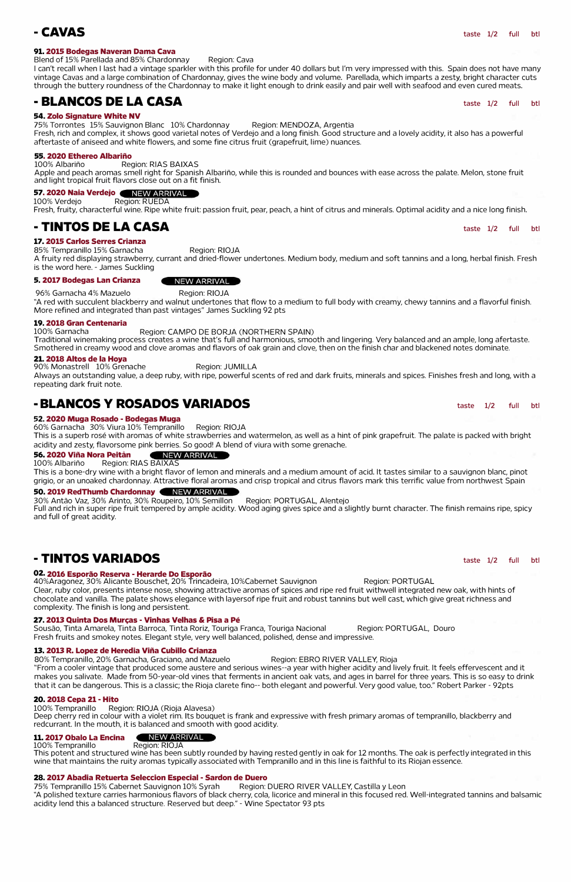## **-CAVAS** taste 1/2 full btl

## **91. 2015 Bodegas Naveran Dama Cava**

## Blend of 15% Parellada and 85% Chardonnay Region: Cava

## I can't recall when I last had a vintage sparkler with this profile for under 40 dollars but I'm very impressed with this. Spain does not have many vintage Cavas and a large combination of Chardonnay, gives the wine body and volume. Parellada, which imparts a zesty, bright character cuts through the buttery roundness of the Chardonnay to make it light enough to drink easily and pair well with seafood and even cured meats.

## **- BLANCOS DE LA CASA** taste 1/2 full btl

100% Albariño Region: RIAS BAIXAS Apple and peach aromas smell right for Spanish Albariño, while this is rounded and bounces with ease across the palate. Melon, stone fruit and light tropical fruit flavors close out on a fit finish.

## **54. Zolo Signature White NV**

100% Verdejo Region: RUEDA Fresh, fruity, characterful wine. Ripe white fruit: passion fruit, pear, peach, a hint of citrus and minerals. Optimal acidity and a nice long finish.

## **- TINTOS DE LA CASA** taste 1/2 full btl

75% Torrontes 15% Sauvignon Blanc 10% Chardonnay Region: MENDOZA, Argentia Fresh, rich and complex, it shows good varietal notes of Verdejo and a long finish. Good structure and a lovely acidity, it also has a powerful aftertaste of aniseed and white flowers, and some fine citrus fruit (grapefruit, lime) nuances.

## **55. 2020 Ethereo Albarino**

## **57. 2020 Naia Verdejo**

90% Monastrell 10% Grenache Region: JUMILLA Always an outstanding value, a deep ruby, with ripe, powerful scents of red and dark fruits, minerals and spices. Finishes fresh and long, with a repeating dark fruit note.

## **-BLANCOS Y ROSADOS VARIADOS The Contract Contract Contract Contract Contract Contract Contract Contract Contract Contract Contract Contract Contract Contract Contract Contract Contract Contract Contract Contract Contrac**

## **17. 2015 Carlos Serres Crianza**

85% Tempranillo 15% Garnacha Region: RIOJA

### **56. 2020 Vina Nora Peitan**  NEW ARRIVAL

## 100% Albariño Region: RIAS BAIXAS

A fruity red displaying strawberry, currant and dried-flower undertones. Medium body, medium and soft tannins and a long, herbal finish. Fresh is the word here. - James Suckling

### **5. 2017 Bodegas Lan Crianza**

96% Garnacha 4% Mazuelo Region: RIOJA

**NEW ARRIVAL** 

"A red with succulent blackberry and walnut undertones that flow to a medium to full body with creamy, chewy tannins and a flavorful finish. More refined and integrated than past vintages" James Suckling 92 pts

## **19. 2018 Gran Centenaria**

### 100% Garnacha Region: CAMPO DE BORJA (NORTHERN SPAIN) Traditional winemaking process creates a wine that's full and harmonious, smooth and lingering. Very balanced and an ample, long afertaste. Smothered in creamy wood and clove aromas and flavors of oak grain and clove, then on the finish char and blackened notes dominate.

Sousão, Tinta Amarela, Tinta Barroca, Tinta Roriz, Touriga Franca, Touriga Nacional Region: PORTUGAL, Douro Fresh fruits and smokey notes. Elegant style, very well balanced, polished, dense and impressive.

## **21. 2018 Altos de la Hoya**

### **11. 2017 Obalo La Encina** NEW ARRIVAL 100% Tempranillo

## **52. 2020 Muga Rosado -Bodegas Muga**

60% Garnacha 30% Viura 10% Tempranillo Region: RIOJA This is a superb rose with aromas of white strawberries and watermelon, as well as a hint of pink grapefruit. The palate is packed with bright

### acidity and zesty, flavorsome pink berries. So good! A blend of viura with some grenache.

**28. 2017 Abadia Retuerta Seleccion Especial - Sardon de Duero<br>75% Tempranillo 15% Cabernet Sauvignon 10% Syrah Region: DUERO RIVER VALLEY, Castilla y Leon** 75% Tempranillo 15% Cabernet Sauvignon 10% Syrah "A polished texture carries harmonious flavors of black cherry, cola, licorice and mineral in this focused red. Well-integrated tannins and balsamic acidity lend this a balanced structure. Reserved but deep." - Wine Spectator 93 pts

This is a bone-dry wine with a bright flavor of lemon and minerals and a medium amount of acid. It tastes similar to a sauvignon blanc, pinot grigio, or an unoaked chardonnay. Attractive floral aromas and crisp tropical and citrus flavors mark this terrific value from northwest Spain

## **50. 2019 RedThumb Chardonnay**

30% Antao Vaz, 30% Arinto, 30% Roupeiro, 10% Semillon Region: PORTUGAL, Alentejo

Full and rich in super ripe fruit tempered by ample acidity. Wood aging gives spice and a slightly burnt character. The finish remains ripe, spicy and full of great acidity.

# **-TINTOS VARIADOS**

## **02. 2016 Esporao Reserva - Herarde Do Esporao**

40%Aragonez, 30% Alicante Bouschet, 20% Trincadeira, 10%Cabernet Sauvignon Region: PORTUGAL Clear, ruby color, presents intense nose, showing attractive aromas of spices and ripe red fruit withwell integrated new oak, with hints of chocolate and vanilla. The palate shows elegance with layersof ripe fruit and robust tannins but well cast, which give great richness and complexity. The finish is long and persistent.

taste 1/2 full btl

80% Tempranillo, 20% Garnacha, Graciano, and Mazuelo Region: EBRO RIVER VALLEY, Rioja

## **27. 2013 Quinta Dos Mur�as - Vinhas Velhas & Pisa a Pe**

## **13. 2013 R. Lopez de Heredia Vina Cubillo Crianza**

"From a cooler vintage that produced some austere and serious wines--a year with higher acidity and lively fruit. It feels effervescent and it makes you salivate. Made from 50-year-old vines that ferments in ancient oak vats, and ages in barrel for three years. This is so easy to drink that it can be dangerous. This is a classic; the Rioja clarete fino-- both elegant and powerful. Very good value, too." Robert Parker - 92pts

## **20. 2018 Cepa 21 - Hito**

100% Tempranillo Region: RIOJA (Rioja Alavesa)

Deep cherry red in colour with a violet rim. Its bouquet is frank and expressive with fresh primary aromas of tempranillo, blackberry and redcurrant. In the mouth, it is balanced and smooth with good acidity.

This potent and structured wine has been subtly rounded by having rested gently in oak for 12 months. The oak is perfectly integrated in this wine that maintains the ruity aromas typically associated with Tempranillo and in this line is faithful to its Riojan essence.